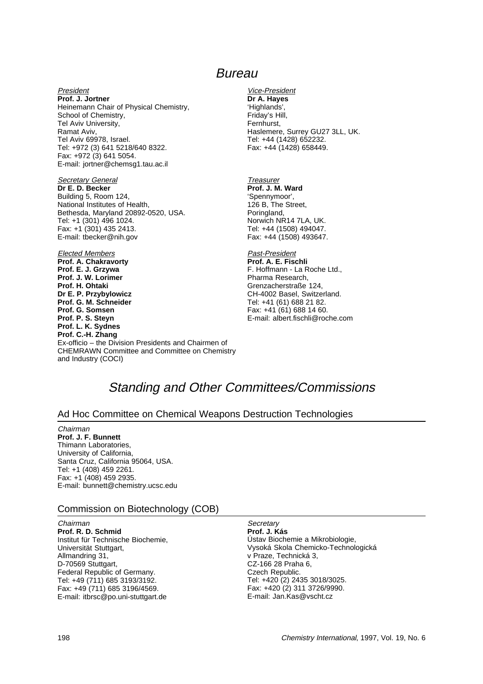# Standing and Other Committees/Commissions

#### Ad Hoc Committee on Chemical Weapons Destruction Technologies

#### Chairman

 $\sim$ 

**Prof. J. F. Bunnett** Thimann Laboratories, University of California, Santa Cruz, California 95064, USA. Tel: +1 (408) 459 2261. Fax: +1 (408) 459 2935. E-mail: bunnett@chemistry.ucsc.edu

#### Commission on Biotechnology (COB)

| Unairman                           |
|------------------------------------|
| Prof. R. D. Schmid                 |
| Institut für Technische Biochemie, |
| Universität Stuttgart,             |
| Allmandring 31,                    |
| D-70569 Stuttgart,                 |
| Federal Republic of Germany.       |
| Tel: +49 (711) 685 3193/3192.      |
| Fax: +49 (711) 685 3196/4569.      |
| E-mail: itbrsc@po.uni-stuttgart.de |
|                                    |

#### **Secretary**

**Prof. J. Kás** Ústav Biochemie a Mikrobiologie, Vysoká Skola Chemicko-Technologická v Praze, Technická 3, CZ-166 28 Praha 6, Czech Republic. Tel: +420 (2) 2435 3018/3025. Fax: +420 (2) 311 3726/9990. E-mail: Jan.Kas@vscht.cz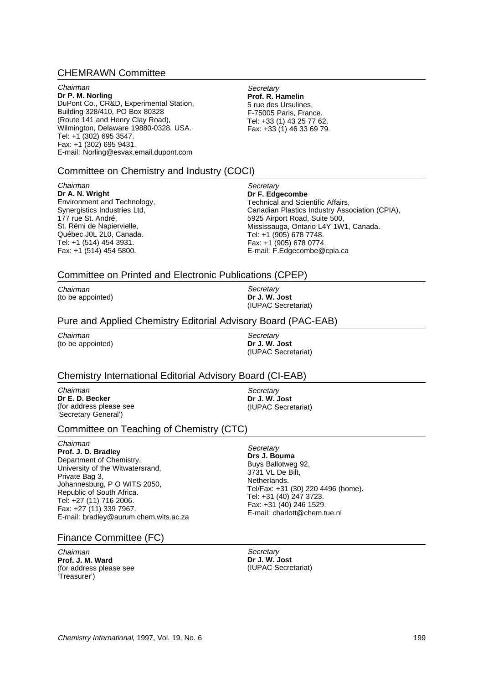#### CHEMRAWN Committee

Chairman **Dr P. M. Norling** DuPont Co., CR&D, Experimental Station, Building 328/410, PO Box 80328 (Route 141 and Henry Clay Road), Wilmington, Delaware 19880-0328, USA. Tel: +1 (302) 695 3547. Fax: +1 (302) 695 9431. E-mail: Norling@esvax.email.dupont.com

**Secretary Prof. R. Hamelin** 5 rue des Ursulines, F-75005 Paris, France. Tel: +33 (1) 43 25 77 62. Fax:  $+33(1)$  46 33 69 79.

#### Committee on Chemistry and Industry (COCI)

Chairman **Dr A. N. Wright**

Environment and Technology, Synergistics Industries Ltd, 177 rue St. André, St. Rémi de Napiervielle, Québec J0L 2L0, Canada. Tel: +1 (514) 454 3931. Fax: +1 (514) 454 5800.

**Secretary Dr F. Edgecombe** Technical and Scientific Affairs, Canadian Plastics Industry Association (CPIA), 5925 Airport Road, Suite 500, Mississauga, Ontario L4Y 1W1, Canada. Tel: +1 (905) 678 7748. Fax: +1 (905) 678 0774. E-mail: F.Edgecombe@cpia.ca

#### Committee on Printed and Electronic Publications (CPEP)

Chairman (to be appointed)

**Secretary Dr J. W. Jost** (IUPAC Secretariat)

#### Pure and Applied Chemistry Editorial Advisory Board (PAC-EAB)

Chairman (to be appointed)

**Secretary Dr J. W. Jost** (IUPAC Secretariat)

#### Chemistry International Editorial Advisory Board (CI-EAB)

Chairman **Dr E. D. Becker** (for address please see 'Secretary General')

**Secretary Dr J. W. Jost** (IUPAC Secretariat)

#### Committee on Teaching of Chemistry (CTC)

Chairman **Prof. J. D. Bradley** Department of Chemistry, University of the Witwatersrand, Private Bag 3, Johannesburg, P O WITS 2050, Republic of South Africa. Tel: +27 (11) 716 2006. Fax: +27 (11) 339 7967. E-mail: bradley@aurum.chem.wits.ac.za

#### Finance Committee (FC)

Chairman **Prof. J. M. Ward** (for address please see 'Treasurer')

**Secretary Drs J. Bouma** Buys Ballotweg 92, 3731 VL De Bilt, Netherlands. Tel/Fax: +31 (30) 220 4496 (home). Tel: +31 (40) 247 3723. Fax: +31 (40) 246 1529. E-mail: charlott@chem.tue.nl

**Secretary Dr J. W. Jost** (IUPAC Secretariat)